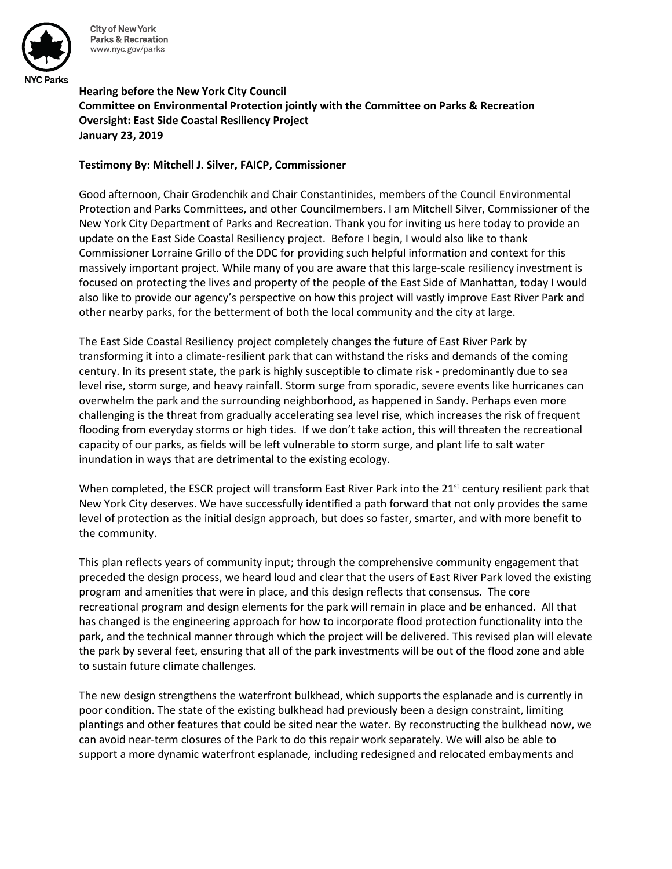

**City of New York Parks & Recreation** www.nyc.gov/parks

**Hearing before the New York City Council Committee on Environmental Protection jointly with the Committee on Parks & Recreation Oversight: East Side Coastal Resiliency Project January 23, 2019**

## **Testimony By: Mitchell J. Silver, FAICP, Commissioner**

Good afternoon, Chair Grodenchik and Chair Constantinides, members of the Council Environmental Protection and Parks Committees, and other Councilmembers. I am Mitchell Silver, Commissioner of the New York City Department of Parks and Recreation. Thank you for inviting us here today to provide an update on the East Side Coastal Resiliency project. Before I begin, I would also like to thank Commissioner Lorraine Grillo of the DDC for providing such helpful information and context for this massively important project. While many of you are aware that this large-scale resiliency investment is focused on protecting the lives and property of the people of the East Side of Manhattan, today I would also like to provide our agency's perspective on how this project will vastly improve East River Park and other nearby parks, for the betterment of both the local community and the city at large.

The East Side Coastal Resiliency project completely changes the future of East River Park by transforming it into a climate-resilient park that can withstand the risks and demands of the coming century. In its present state, the park is highly susceptible to climate risk - predominantly due to sea level rise, storm surge, and heavy rainfall. Storm surge from sporadic, severe events like hurricanes can overwhelm the park and the surrounding neighborhood, as happened in Sandy. Perhaps even more challenging is the threat from gradually accelerating sea level rise, which increases the risk of frequent flooding from everyday storms or high tides. If we don't take action, this will threaten the recreational capacity of our parks, as fields will be left vulnerable to storm surge, and plant life to salt water inundation in ways that are detrimental to the existing ecology.

When completed, the ESCR project will transform East River Park into the 21<sup>st</sup> century resilient park that New York City deserves. We have successfully identified a path forward that not only provides the same level of protection as the initial design approach, but does so faster, smarter, and with more benefit to the community.

This plan reflects years of community input; through the comprehensive community engagement that preceded the design process, we heard loud and clear that the users of East River Park loved the existing program and amenities that were in place, and this design reflects that consensus. The core recreational program and design elements for the park will remain in place and be enhanced. All that has changed is the engineering approach for how to incorporate flood protection functionality into the park, and the technical manner through which the project will be delivered. This revised plan will elevate the park by several feet, ensuring that all of the park investments will be out of the flood zone and able to sustain future climate challenges.

The new design strengthens the waterfront bulkhead, which supports the esplanade and is currently in poor condition. The state of the existing bulkhead had previously been a design constraint, limiting plantings and other features that could be sited near the water. By reconstructing the bulkhead now, we can avoid near-term closures of the Park to do this repair work separately. We will also be able to support a more dynamic waterfront esplanade, including redesigned and relocated embayments and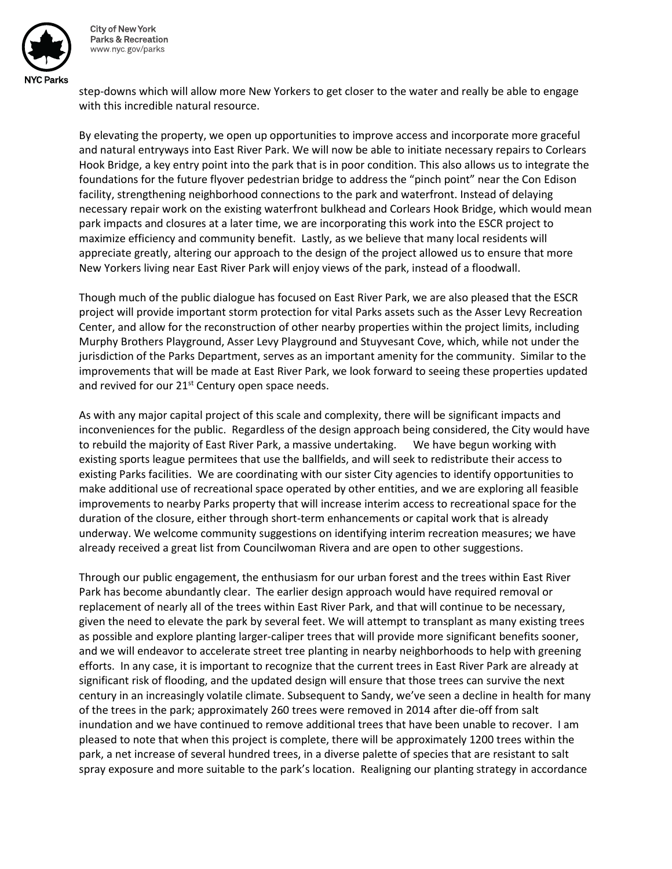

**City of New York Parks & Recreation** www.nyc.gov/parks

step-downs which will allow more New Yorkers to get closer to the water and really be able to engage with this incredible natural resource.

By elevating the property, we open up opportunities to improve access and incorporate more graceful and natural entryways into East River Park. We will now be able to initiate necessary repairs to Corlears Hook Bridge, a key entry point into the park that is in poor condition. This also allows us to integrate the foundations for the future flyover pedestrian bridge to address the "pinch point" near the Con Edison facility, strengthening neighborhood connections to the park and waterfront. Instead of delaying necessary repair work on the existing waterfront bulkhead and Corlears Hook Bridge, which would mean park impacts and closures at a later time, we are incorporating this work into the ESCR project to maximize efficiency and community benefit. Lastly, as we believe that many local residents will appreciate greatly, altering our approach to the design of the project allowed us to ensure that more New Yorkers living near East River Park will enjoy views of the park, instead of a floodwall.

Though much of the public dialogue has focused on East River Park, we are also pleased that the ESCR project will provide important storm protection for vital Parks assets such as the Asser Levy Recreation Center, and allow for the reconstruction of other nearby properties within the project limits, including Murphy Brothers Playground, Asser Levy Playground and Stuyvesant Cove, which, while not under the jurisdiction of the Parks Department, serves as an important amenity for the community. Similar to the improvements that will be made at East River Park, we look forward to seeing these properties updated and revived for our 21<sup>st</sup> Century open space needs.

As with any major capital project of this scale and complexity, there will be significant impacts and inconveniences for the public. Regardless of the design approach being considered, the City would have to rebuild the majority of East River Park, a massive undertaking. We have begun working with existing sports league permitees that use the ballfields, and will seek to redistribute their access to existing Parks facilities. We are coordinating with our sister City agencies to identify opportunities to make additional use of recreational space operated by other entities, and we are exploring all feasible improvements to nearby Parks property that will increase interim access to recreational space for the duration of the closure, either through short-term enhancements or capital work that is already underway. We welcome community suggestions on identifying interim recreation measures; we have already received a great list from Councilwoman Rivera and are open to other suggestions.

Through our public engagement, the enthusiasm for our urban forest and the trees within East River Park has become abundantly clear. The earlier design approach would have required removal or replacement of nearly all of the trees within East River Park, and that will continue to be necessary, given the need to elevate the park by several feet. We will attempt to transplant as many existing trees as possible and explore planting larger-caliper trees that will provide more significant benefits sooner, and we will endeavor to accelerate street tree planting in nearby neighborhoods to help with greening efforts. In any case, it is important to recognize that the current trees in East River Park are already at significant risk of flooding, and the updated design will ensure that those trees can survive the next century in an increasingly volatile climate. Subsequent to Sandy, we've seen a decline in health for many of the trees in the park; approximately 260 trees were removed in 2014 after die-off from salt inundation and we have continued to remove additional trees that have been unable to recover. I am pleased to note that when this project is complete, there will be approximately 1200 trees within the park, a net increase of several hundred trees, in a diverse palette of species that are resistant to salt spray exposure and more suitable to the park's location. Realigning our planting strategy in accordance